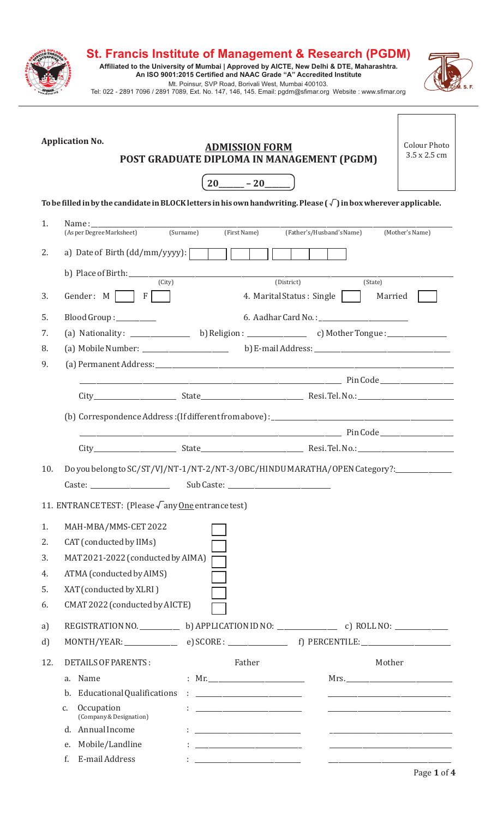

# **St. Francis Institute of Management & Research (PGDM)**

Mt. Poinsur, SVP Road, Borivali West, Mumbai 400103. **Affiliated to the University of Mumbai | Approved by AICTE, New Delhi & DTE, Maharashtra. An ISO 9001:2015 Certified and NAAC Grade "A" Accredited Institute**



| $\ldots$ , $\ldots$ $\ldots$ , $\ldots$ , $\ldots$ , $\ldots$ , $\ldots$ , $\ldots$ , $\ldots$ , $\ldots$ , $\ldots$ , $\ldots$ , $\ldots$ , $\ldots$ , $\ldots$ , $\ldots$ , $\ldots$ , $\ldots$ , $\ldots$ , $\ldots$ , $\ldots$ , $\ldots$ , $\ldots$ , $\ldots$ , $\ldots$ , $\ldots$ , $\ldots$ , $\ldots$ , $\ldots$ , $\ldots$ , $\ldots$ , $\ldots$ |  |                                                                                                           |  |  |  |
|-------------------------------------------------------------------------------------------------------------------------------------------------------------------------------------------------------------------------------------------------------------------------------------------------------------------------------------------------------------|--|-----------------------------------------------------------------------------------------------------------|--|--|--|
|                                                                                                                                                                                                                                                                                                                                                             |  | Tel: 022 - 2891 7096 / 2891 7089, Ext. No. 147, 146, 145. Email: pgdm@sfimar.org Website : www.sfimar.org |  |  |  |

|     | <b>Application No.</b><br><b>ADMISSION FORM</b><br>POST GRADUATE DIPLOMA IN MANAGEMENT (PGDM)                               |                                                                                                                       |                                                                                                                    |                 |  |  |  |  |
|-----|-----------------------------------------------------------------------------------------------------------------------------|-----------------------------------------------------------------------------------------------------------------------|--------------------------------------------------------------------------------------------------------------------|-----------------|--|--|--|--|
|     |                                                                                                                             | $20$ <sub>_____</sub> - 20____                                                                                        |                                                                                                                    |                 |  |  |  |  |
|     | To be filled in by the candidate in BLOCK letters in his own handwriting. Please $(\sqrt{\ } )$ in box wherever applicable. |                                                                                                                       |                                                                                                                    |                 |  |  |  |  |
| 1.  | Name:<br>(As per Degree Marksheet)                                                                                          | (Surname)<br>(First Name)                                                                                             | (Father's/Husband's Name)                                                                                          | (Mother's Name) |  |  |  |  |
|     |                                                                                                                             |                                                                                                                       |                                                                                                                    |                 |  |  |  |  |
| 2.  | a) Date of Birth $(dd/mm/yyy$ : $\boxed{\qquad}$                                                                            |                                                                                                                       |                                                                                                                    |                 |  |  |  |  |
|     | $\frac{1}{\text{(City)}}$                                                                                                   |                                                                                                                       | (District)<br>(State)                                                                                              |                 |  |  |  |  |
| 3.  | Gender: $M$   $F$                                                                                                           |                                                                                                                       | 4. Marital Status: Single  <br>Married                                                                             |                 |  |  |  |  |
| 5.  | Blood Group : ________                                                                                                      |                                                                                                                       |                                                                                                                    |                 |  |  |  |  |
| 7.  | (a) Nationality: ______________ b) Religion: ______________ c) Mother Tongue: ____________                                  |                                                                                                                       |                                                                                                                    |                 |  |  |  |  |
| 8.  |                                                                                                                             |                                                                                                                       |                                                                                                                    |                 |  |  |  |  |
| 9.  |                                                                                                                             |                                                                                                                       |                                                                                                                    |                 |  |  |  |  |
|     |                                                                                                                             |                                                                                                                       |                                                                                                                    |                 |  |  |  |  |
|     |                                                                                                                             |                                                                                                                       |                                                                                                                    |                 |  |  |  |  |
|     |                                                                                                                             |                                                                                                                       |                                                                                                                    |                 |  |  |  |  |
|     |                                                                                                                             |                                                                                                                       |                                                                                                                    |                 |  |  |  |  |
|     |                                                                                                                             |                                                                                                                       |                                                                                                                    |                 |  |  |  |  |
| 10. | Do you belong to SC/ST/VJ/NT-1/NT-2/NT-3/OBC/HINDU MARATHA/OPEN Category?:___________                                       |                                                                                                                       |                                                                                                                    |                 |  |  |  |  |
|     | Caste: ______________________                                                                                               |                                                                                                                       |                                                                                                                    |                 |  |  |  |  |
|     | 11. ENTRANCE TEST: (Please $\sqrt{ }$ any <u>One</u> entrance test)                                                         |                                                                                                                       |                                                                                                                    |                 |  |  |  |  |
| 1.  | MAH-MBA/MMS-CET 2022                                                                                                        |                                                                                                                       |                                                                                                                    |                 |  |  |  |  |
| 2.  | CAT (conducted by IIMs)                                                                                                     |                                                                                                                       |                                                                                                                    |                 |  |  |  |  |
| 3.  | MAT 2021-2022 (conducted by AIMA)                                                                                           |                                                                                                                       |                                                                                                                    |                 |  |  |  |  |
| 4.  | ATMA (conducted by AIMS)                                                                                                    |                                                                                                                       |                                                                                                                    |                 |  |  |  |  |
| 5.  | XAT (conducted by XLRI)                                                                                                     |                                                                                                                       |                                                                                                                    |                 |  |  |  |  |
| 6.  | CMAT 2022 (conducted by AICTE)                                                                                              |                                                                                                                       |                                                                                                                    |                 |  |  |  |  |
| a)  |                                                                                                                             |                                                                                                                       |                                                                                                                    |                 |  |  |  |  |
| d)  |                                                                                                                             |                                                                                                                       |                                                                                                                    |                 |  |  |  |  |
|     |                                                                                                                             |                                                                                                                       |                                                                                                                    |                 |  |  |  |  |
| 12. | <b>DETAILS OF PARENTS:</b>                                                                                                  | Father                                                                                                                | Mother                                                                                                             |                 |  |  |  |  |
|     | Name<br>a.<br>Educational Qualifications<br>b.                                                                              | $\frac{1}{2}$ . <u>The contract of the contract of the contract of</u>                                                | <u> 1989 - Johann John Harry, mars eta bat eta bat eta bat eta bat ez arteko harta zen bat ez arteko harta zen</u> |                 |  |  |  |  |
|     | Occupation<br>c.                                                                                                            |                                                                                                                       | <u> 1989 - Andrea Stadt Britain, amerikansk politik (</u>                                                          |                 |  |  |  |  |
|     | (Company & Designation)                                                                                                     |                                                                                                                       |                                                                                                                    |                 |  |  |  |  |
|     | d. Annual Income                                                                                                            |                                                                                                                       |                                                                                                                    |                 |  |  |  |  |
|     | Mobile/Landline<br>e.<br>E-mail Address<br>f.                                                                               | <u> 1989 - Johann Harry Harry Harry Harry Harry Harry Harry Harry Harry Harry Harry Harry Harry Harry Harry Harry</u> | <u> 1989 - Andrea Stadt Britain, amerikansk politiker (</u>                                                        |                 |  |  |  |  |
|     |                                                                                                                             |                                                                                                                       |                                                                                                                    |                 |  |  |  |  |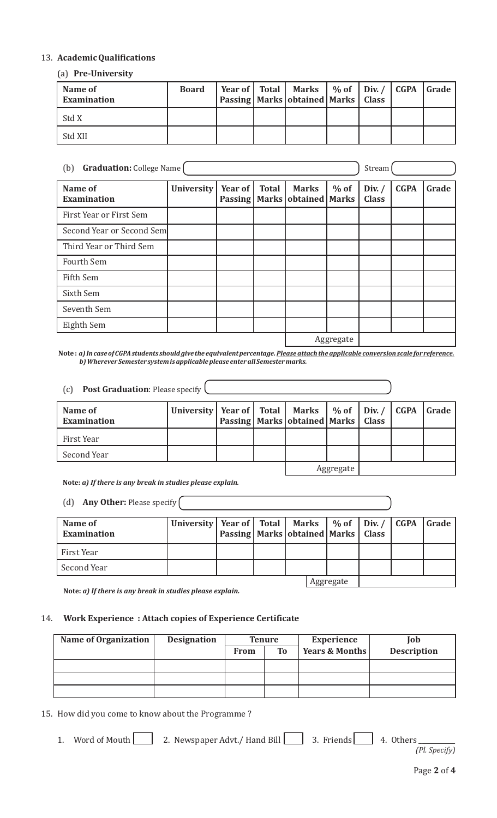### 13. **Academic Qualifications**

### (a) **Pre-University**

| Name of<br><b>Examination</b> | <b>Board</b> |  | Year of   Total   Marks   % of   Div. /   CGPA   Grade  <br>Passing   Marks   obtained   Marks   Class |  |  |
|-------------------------------|--------------|--|--------------------------------------------------------------------------------------------------------|--|--|
| Std X                         |              |  |                                                                                                        |  |  |
| Std XII                       |              |  |                                                                                                        |  |  |

| <b>Graduation:</b> College Name<br>(b) |                   |                           |              |                                          |           | Stream                   |             |       |
|----------------------------------------|-------------------|---------------------------|--------------|------------------------------------------|-----------|--------------------------|-------------|-------|
| Name of<br><b>Examination</b>          | <b>University</b> | Year of<br><b>Passing</b> | <b>Total</b> | <b>Marks</b><br>Marks   obtained   Marks | $%$ of    | Div. $/$<br><b>Class</b> | <b>CGPA</b> | Grade |
| First Year or First Sem                |                   |                           |              |                                          |           |                          |             |       |
| Second Year or Second Sem              |                   |                           |              |                                          |           |                          |             |       |
| Third Year or Third Sem                |                   |                           |              |                                          |           |                          |             |       |
| Fourth Sem                             |                   |                           |              |                                          |           |                          |             |       |
| Fifth Sem                              |                   |                           |              |                                          |           |                          |             |       |
| Sixth Sem                              |                   |                           |              |                                          |           |                          |             |       |
| Seventh Sem                            |                   |                           |              |                                          |           |                          |             |       |
| Eighth Sem                             |                   |                           |              |                                          |           |                          |             |       |
|                                        |                   |                           |              |                                          | Aggregate |                          |             |       |

Note: a) In case of CGPA students should give the equivalent percentage. Please attach the applicable conversion scale for reference. *b*) Wherever Semester system is applicable please enter all Semester marks.

 $(c)$  **Post Graduation**: Please specify

| Name of<br><b>Examination</b> | University   Year of   Total   Marks   % of   Div. / $ $ CGPA   Grade |  | Passing   Marks   obtained   Marks   Class |           |  |  |
|-------------------------------|-----------------------------------------------------------------------|--|--------------------------------------------|-----------|--|--|
| First Year                    |                                                                       |  |                                            |           |  |  |
| Second Year                   |                                                                       |  |                                            |           |  |  |
|                               |                                                                       |  |                                            | Aggregate |  |  |

Note: *a*) If there is any break in studies please explain.

(d) **Any Other:** Please specify

| Name of<br><b>Examination</b> | University   Year of   Total   Marks   % of   Div. / $ $ CGPA   Grade | Passing   Marks   obtained   Marks   Class |  |           |  |  |
|-------------------------------|-----------------------------------------------------------------------|--------------------------------------------|--|-----------|--|--|
| First Year                    |                                                                       |                                            |  |           |  |  |
| Second Year                   |                                                                       |                                            |  |           |  |  |
|                               |                                                                       |                                            |  | Aggregate |  |  |

Note: *a*) If there is any break in studies please explain.

#### 14. Work Experience : Attach copies of Experience Certificate

| <b>Name of Organization</b> | <b>Designation</b> | <b>Tenure</b> |    | <b>Experience</b> | Job                |
|-----------------------------|--------------------|---------------|----|-------------------|--------------------|
|                             |                    | <b>From</b>   | To | Years & Months    | <b>Description</b> |
|                             |                    |               |    |                   |                    |
|                             |                    |               |    |                   |                    |
|                             |                    |               |    |                   |                    |

15. How did you come to know about the Programme?

1. Word of Mouth 2. Newspaper Advt./ Hand Bill 3. Friends 4. Others

*(Pl. Specify)*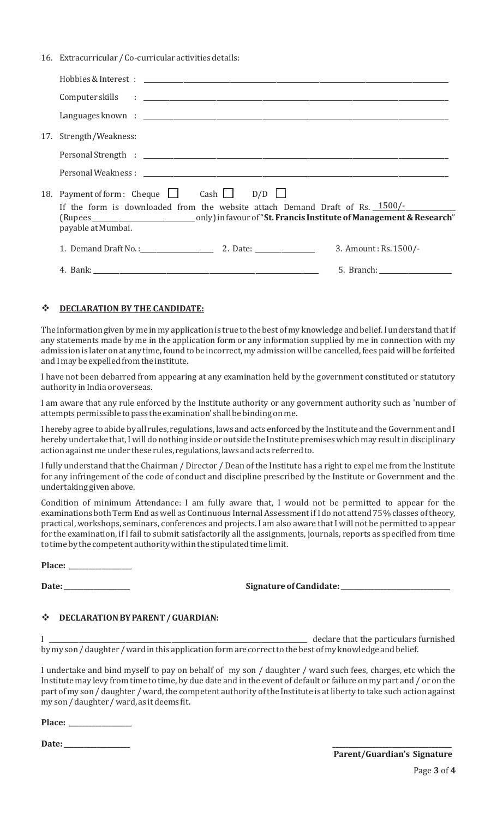16. Extracurricular / Co-curricular activities details:

| 17. Strength/Weakness:                                                                                                            |
|-----------------------------------------------------------------------------------------------------------------------------------|
|                                                                                                                                   |
|                                                                                                                                   |
| 18. Payment of form: Cheque $\Box$ Cash $\Box$<br>$D/D$ $\Box$                                                                    |
| If the form is downloaded from the website attach Demand Draft of Rs. $1500/-$                                                    |
| (Rupees ________________________________only) in favour of "St. Francis Institute of Management & Research"<br>payable at Mumbai. |
| 3. Amount: Rs. 1500/-                                                                                                             |
| 5. Branch: 2008                                                                                                                   |

#### $\div$  **DECLARATION BY THE CANDIDATE:**

The information given by me in my application is true to the best of my knowledge and belief. I understand that if any statements made by me in the application form or any information supplied by me in connection with my admission is later on at any time, found to be incorrect, my admission will be cancelled, fees paid will be forfeited and I may be expelled from the institute.

I have not been debarred from appearing at any examination held by the government constituted or statutory authority in India or overseas.

I am aware that any rule enforced by the Institute authority or any government authority such as 'number of attempts permissible to pass the examination' shall be binding on me.

I hereby agree to abide by all rules, regulations, laws and acts enforced by the Institute and the Government and I hereby undertake that, I will do nothing inside or outside the Institute premises which may result in disciplinary action against me under these rules, regulations, laws and acts referred to.

I fully understand that the Chairman / Director / Dean of the Institute has a right to expel me from the Institute for any infringement of the code of conduct and discipline prescribed by the Institute or Government and the undertaking given above.

Condition of minimum Attendance: I am fully aware that, I would not be permitted to appear for the examinations both Term End as well as Continuous Internal Assessment if I do not attend 75% classes of theory, practical, workshops, seminars, conferences and projects. I am also aware that I will not be permitted to appear for the examination, if I fail to submit satisfactorily all the assignments, journals, reports as specified from time to time by the competent authority within the stipulated time limit.

**Place: \_\_\_\_\_\_\_\_\_\_\_\_\_\_\_\_\_\_\_**

**Date: \_\_\_\_\_\_\_\_\_\_\_\_\_\_\_\_\_\_\_\_ Signature of Candidate: \_\_\_\_\_\_\_\_\_\_\_\_\_\_\_\_\_\_\_\_\_\_\_\_\_\_\_\_\_\_\_\_\_**

## $\div$  **DECLARATION BY PARENT / GUARDIAN:**

I \_\_\_\_\_\_\_\_\_\_\_\_\_\_\_\_\_\_\_\_\_\_\_\_\_\_\_\_\_\_\_\_\_\_\_\_\_\_\_\_\_\_\_\_\_\_\_\_\_\_\_\_\_\_\_\_\_\_\_\_\_\_\_\_\_\_\_\_\_\_\_\_\_\_\_\_\_\_ declare that the particulars furnished by my son / daughter / ward in this application form are correct to the best of my knowledge and belief.

I undertake and bind myself to pay on behalf of my son / daughter / ward such fees, charges, etc which the Institute may levy from time to time, by due date and in the event of default or failure on my part and / or on the part of my son / daughter / ward, the competent authority of the Institute is at liberty to take such action against my son / daughter / ward, as it deems fit.

**Place: \_\_\_\_\_\_\_\_\_\_\_\_\_\_\_\_\_\_\_**

**Date:**  $\blacksquare$